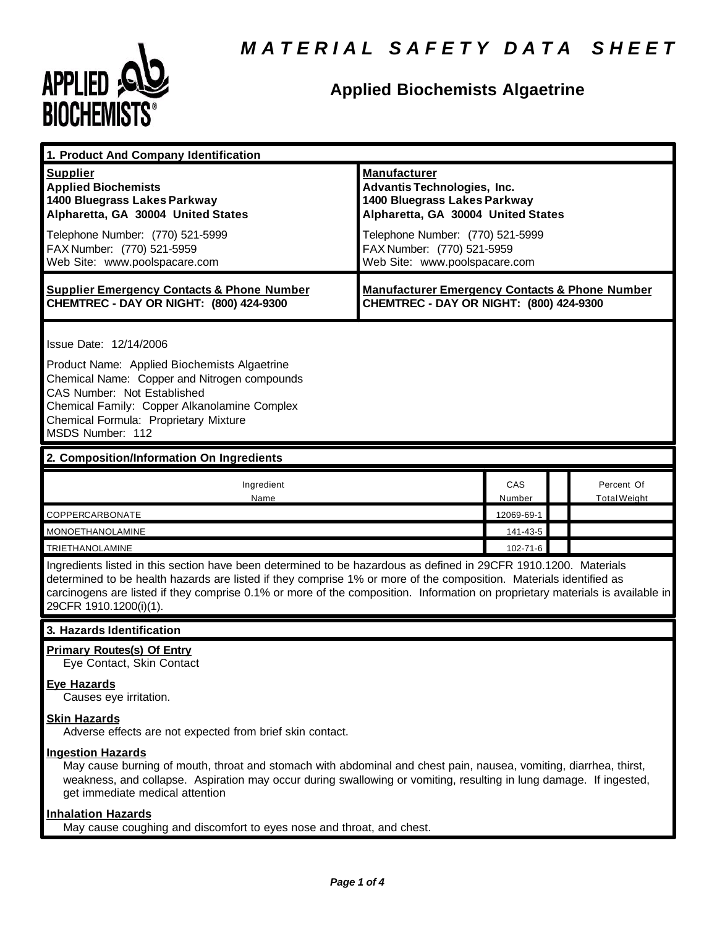

# **Applied Biochemists Algaetrine**

| 1. Product And Company Identification                                                                                                                                                                                                                                                                                                                                                             |                                                                                                                                                                                                                             |               |                                   |  |
|---------------------------------------------------------------------------------------------------------------------------------------------------------------------------------------------------------------------------------------------------------------------------------------------------------------------------------------------------------------------------------------------------|-----------------------------------------------------------------------------------------------------------------------------------------------------------------------------------------------------------------------------|---------------|-----------------------------------|--|
| <b>Supplier</b><br><b>Applied Biochemists</b><br>1400 Bluegrass Lakes Parkway<br>Alpharetta, GA 30004 United States<br>Telephone Number: (770) 521-5999<br>FAX Number: (770) 521-5959<br>Web Site: www.poolspacare.com                                                                                                                                                                            | <b>Manufacturer</b><br>Advantis Technologies, Inc.<br>1400 Bluegrass Lakes Parkway<br>Alpharetta, GA 30004 United States<br>Telephone Number: (770) 521-5999<br>FAX Number: (770) 521-5959<br>Web Site: www.poolspacare.com |               |                                   |  |
| <b>Supplier Emergency Contacts &amp; Phone Number</b><br>CHEMTREC - DAY OR NIGHT: (800) 424-9300                                                                                                                                                                                                                                                                                                  | <b>Manufacturer Emergency Contacts &amp; Phone Number</b><br>CHEMTREC - DAY OR NIGHT: (800) 424-9300                                                                                                                        |               |                                   |  |
| Issue Date: 12/14/2006<br>Product Name: Applied Biochemists Algaetrine<br>Chemical Name: Copper and Nitrogen compounds<br>CAS Number: Not Established<br>Chemical Family: Copper Alkanolamine Complex<br>Chemical Formula: Proprietary Mixture<br>MSDS Number: 112                                                                                                                                |                                                                                                                                                                                                                             |               |                                   |  |
| 2. Composition/Information On Ingredients                                                                                                                                                                                                                                                                                                                                                         |                                                                                                                                                                                                                             |               |                                   |  |
| Ingredient<br>Name                                                                                                                                                                                                                                                                                                                                                                                |                                                                                                                                                                                                                             | CAS<br>Number | Percent Of<br><b>Total Weight</b> |  |
| COPPERCARBONATE                                                                                                                                                                                                                                                                                                                                                                                   |                                                                                                                                                                                                                             | 12069-69-1    |                                   |  |
| <b>MONOETHANOLAMINE</b>                                                                                                                                                                                                                                                                                                                                                                           |                                                                                                                                                                                                                             | 141-43-5      |                                   |  |
| TRIETHANOLAMINE                                                                                                                                                                                                                                                                                                                                                                                   |                                                                                                                                                                                                                             | 102-71-6      |                                   |  |
| Ingredients listed in this section have been determined to be hazardous as defined in 29CFR 1910.1200. Materials<br>determined to be health hazards are listed if they comprise 1% or more of the composition. Materials identified as<br>carcinogens are listed if they comprise 0.1% or more of the composition. Information on proprietary materials is available in<br>29CFR 1910.1200(i)(1). |                                                                                                                                                                                                                             |               |                                   |  |
| 3. Hazards Identification                                                                                                                                                                                                                                                                                                                                                                         |                                                                                                                                                                                                                             |               |                                   |  |
| <b>Primary Routes(s) Of Entry</b><br>Eye Contact, Skin Contact                                                                                                                                                                                                                                                                                                                                    |                                                                                                                                                                                                                             |               |                                   |  |
| <b>Eye Hazards</b><br>Causes eye irritation.                                                                                                                                                                                                                                                                                                                                                      |                                                                                                                                                                                                                             |               |                                   |  |
| <b>Skin Hazards</b><br>Adverse effects are not expected from brief skin contact.                                                                                                                                                                                                                                                                                                                  |                                                                                                                                                                                                                             |               |                                   |  |
| <b>Ingestion Hazards</b><br>May cause burning of mouth, throat and stomach with abdominal and chest pain, nausea, vomiting, diarrhea, thirst,<br>weakness, and collapse. Aspiration may occur during swallowing or vomiting, resulting in lung damage. If ingested,<br>get immediate medical attention                                                                                            |                                                                                                                                                                                                                             |               |                                   |  |

# **Inhalation Hazards**

May cause coughing and discomfort to eyes nose and throat, and chest.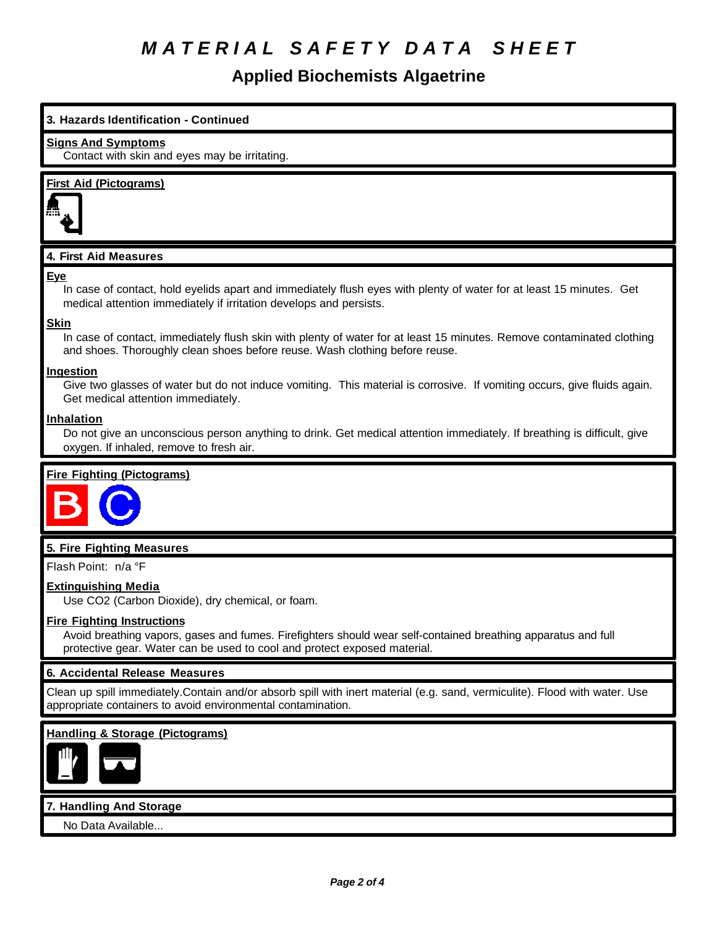# *M A T E R I A L S A F E T Y D A T A S H E E T*

# **Applied Biochemists Algaetrine**

# **3. Hazards Identification - Continued**

#### **Signs And Symptoms**

Contact with skin and eyes may be irritating.

## **First Aid (Pictograms)**



## **4. First Aid Measures**

#### **Eye**

In case of contact, hold eyelids apart and immediately flush eyes with plenty of water for at least 15 minutes. Get medical attention immediately if irritation develops and persists.

#### **Skin**

In case of contact, immediately flush skin with plenty of water for at least 15 minutes. Remove contaminated clothing and shoes. Thoroughly clean shoes before reuse. Wash clothing before reuse.

#### **Ingestion**

Give two glasses of water but do not induce vomiting. This material is corrosive. If vomiting occurs, give fluids again. Get medical attention immediately.

#### **Inhalation**

Do not give an unconscious person anything to drink. Get medical attention immediately. If breathing is difficult, give oxygen. If inhaled, remove to fresh air.

## **Fire Fighting (Pictograms)**



## **5. Fire Fighting Measures**

Flash Point: n/a °F

#### **Extinguishing Media**

Use CO2 (Carbon Dioxide), dry chemical, or foam.

#### **Fire Fighting Instructions**

Avoid breathing vapors, gases and fumes. Firefighters should wear self-contained breathing apparatus and full protective gear. Water can be used to cool and protect exposed material.

## **6. Accidental Release Measures**

Clean up spill immediately.Contain and/or absorb spill with inert material (e.g. sand, vermiculite). Flood with water. Use appropriate containers to avoid environmental contamination.

## **Handling & Storage (Pictograms)**



#### **7. Handling And Storage**

No Data Available...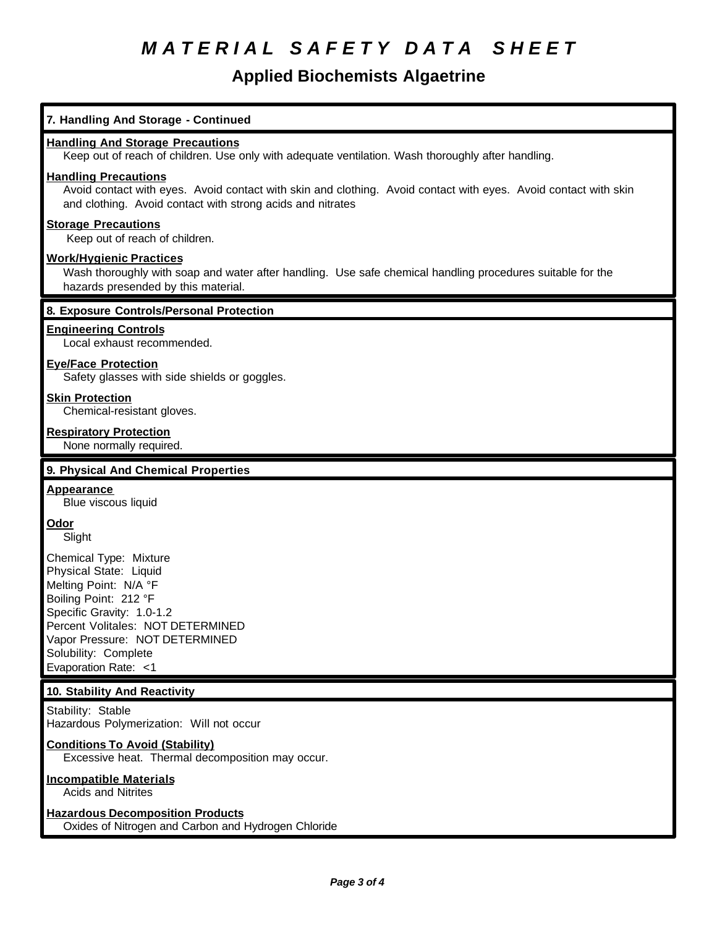# *M A T E R I A L S A F E T Y D A T A S H E E T*

# **Applied Biochemists Algaetrine**

| 7. Handling And Storage - Continued                                                                                                                                                                                                                    |
|--------------------------------------------------------------------------------------------------------------------------------------------------------------------------------------------------------------------------------------------------------|
| <b>Handling And Storage Precautions</b><br>Keep out of reach of children. Use only with adequate ventilation. Wash thoroughly after handling.                                                                                                          |
| <b>Handling Precautions</b><br>Avoid contact with eyes. Avoid contact with skin and clothing. Avoid contact with eyes. Avoid contact with skin<br>and clothing. Avoid contact with strong acids and nitrates                                           |
| <b>Storage Precautions</b><br>Keep out of reach of children.                                                                                                                                                                                           |
| <b>Work/Hygienic Practices</b><br>Wash thoroughly with soap and water after handling. Use safe chemical handling procedures suitable for the<br>hazards presended by this material.                                                                    |
| 8. Exposure Controls/Personal Protection                                                                                                                                                                                                               |
| <b>Engineering Controls</b><br>Local exhaust recommended.                                                                                                                                                                                              |
| <b>Eye/Face Protection</b><br>Safety glasses with side shields or goggles.                                                                                                                                                                             |
| <b>Skin Protection</b><br>Chemical-resistant gloves.                                                                                                                                                                                                   |
| <b>Respiratory Protection</b><br>None normally required.                                                                                                                                                                                               |
| 9. Physical And Chemical Properties                                                                                                                                                                                                                    |
| <b>Appearance</b><br>Blue viscous liquid                                                                                                                                                                                                               |
| <b>Odor</b><br>Slight                                                                                                                                                                                                                                  |
| Chemical Type: Mixture<br>Physical State: Liquid<br>Melting Point: N/A °F<br>Boiling Point: 212 °F<br>Specific Gravity: 1.0-1.2<br>Percent Volitales: NOT DETERMINED<br>Vapor Pressure: NOT DETERMINED<br>Solubility: Complete<br>Evaporation Rate: <1 |
| 10. Stability And Reactivity                                                                                                                                                                                                                           |
| Stability: Stable<br>Hazardous Polymerization: Will not occur                                                                                                                                                                                          |
| <b>Conditions To Avoid (Stability)</b><br>Excessive heat. Thermal decomposition may occur.                                                                                                                                                             |
| <b>Incompatible Materials</b><br><b>Acids and Nitrites</b>                                                                                                                                                                                             |
| <b>Hazardous Decomposition Products</b><br>Oxides of Nitrogen and Carbon and Hydrogen Chloride                                                                                                                                                         |